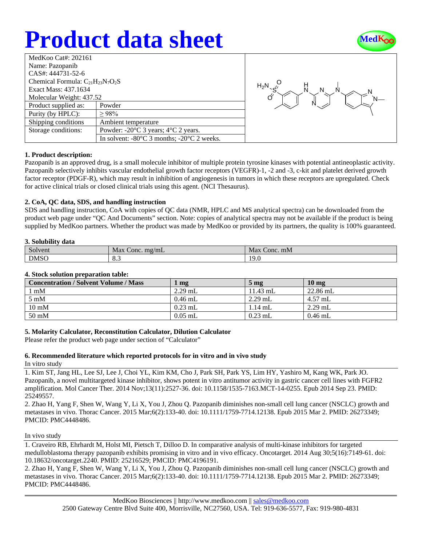# **Product data sheet**



| MedKoo Cat#: 202161                                            |  |  |  |  |  |
|----------------------------------------------------------------|--|--|--|--|--|
| Name: Pazopanib                                                |  |  |  |  |  |
| CAS#: 444731-52-6                                              |  |  |  |  |  |
| Chemical Formula: $C_{21}H_{23}N_7O_2S$                        |  |  |  |  |  |
| Exact Mass: 437.1634                                           |  |  |  |  |  |
| Molecular Weight: 437.52                                       |  |  |  |  |  |
| Powder                                                         |  |  |  |  |  |
| >98%                                                           |  |  |  |  |  |
| Ambient temperature                                            |  |  |  |  |  |
| Powder: $-20^{\circ}$ C 3 years; $4^{\circ}$ C 2 years.        |  |  |  |  |  |
| In solvent: $-80^{\circ}$ C 3 months; $-20^{\circ}$ C 2 weeks. |  |  |  |  |  |
|                                                                |  |  |  |  |  |



### **1. Product description:**

Pazopanib is an approved drug, is a small molecule inhibitor of multiple protein tyrosine kinases with potential antineoplastic activity. Pazopanib selectively inhibits vascular endothelial growth factor receptors (VEGFR)-1, -2 and -3, c-kit and platelet derived growth factor receptor (PDGF-R), which may result in inhibition of angiogenesis in tumors in which these receptors are upregulated. Check for active clinical trials or closed clinical trials using this agent. (NCI Thesaurus).

### **2. CoA, QC data, SDS, and handling instruction**

SDS and handling instruction, CoA with copies of QC data (NMR, HPLC and MS analytical spectra) can be downloaded from the product web page under "QC And Documents" section. Note: copies of analytical spectra may not be available if the product is being supplied by MedKoo partners. Whether the product was made by MedKoo or provided by its partners, the quality is 100% guaranteed.

#### **3. Solubility data**

| $\sim$<br>Solvent | <b>Max</b><br>mg/mL<br>Conc.  | Max<br>Conc. mM      |
|-------------------|-------------------------------|----------------------|
| <b>DMSO</b>       | $\Omega$<br>$\mathbf{o} \sim$ | $1^{\prime}$<br>エノ・リ |

#### **4. Stock solution preparation table:**

| <b>Concentration / Solvent Volume / Mass</b> | mg        | 5 <sub>mg</sub> | 10 <sub>mg</sub> |
|----------------------------------------------|-----------|-----------------|------------------|
| $1 \text{ mM}$                               | $2.29$ mL | $11.43$ mL      | $22.86$ mL       |
| $5 \text{ mM}$                               | $0.46$ mL | $2.29$ mL       | $4.57$ mL        |
| $10 \text{ mM}$                              | $0.23$ mL | $1.14$ mL       | $2.29$ mL        |
| 50 mM                                        | $0.05$ mL | $0.23$ mL       | $0.46$ mL        |

### **5. Molarity Calculator, Reconstitution Calculator, Dilution Calculator**

Please refer the product web page under section of "Calculator"

### **6. Recommended literature which reported protocols for in vitro and in vivo study**

In vitro study

1. Kim ST, Jang HL, Lee SJ, Lee J, Choi YL, Kim KM, Cho J, Park SH, Park YS, Lim HY, Yashiro M, Kang WK, Park JO. Pazopanib, a novel multitargeted kinase inhibitor, shows potent in vitro antitumor activity in gastric cancer cell lines with FGFR2 amplification. Mol Cancer Ther. 2014 Nov;13(11):2527-36. doi: 10.1158/1535-7163.MCT-14-0255. Epub 2014 Sep 23. PMID: 25249557.

2. Zhao H, Yang F, Shen W, Wang Y, Li X, You J, Zhou Q. Pazopanib diminishes non-small cell lung cancer (NSCLC) growth and metastases in vivo. Thorac Cancer. 2015 Mar;6(2):133-40. doi: 10.1111/1759-7714.12138. Epub 2015 Mar 2. PMID: 26273349; PMCID: PMC4448486.

#### In vivo study

1. Craveiro RB, Ehrhardt M, Holst MI, Pietsch T, Dilloo D. In comparative analysis of multi-kinase inhibitors for targeted medulloblastoma therapy pazopanib exhibits promising in vitro and in vivo efficacy. Oncotarget. 2014 Aug 30;5(16):7149-61. doi: 10.18632/oncotarget.2240. PMID: 25216529; PMCID: PMC4196191.

2. Zhao H, Yang F, Shen W, Wang Y, Li X, You J, Zhou Q. Pazopanib diminishes non-small cell lung cancer (NSCLC) growth and metastases in vivo. Thorac Cancer. 2015 Mar;6(2):133-40. doi: 10.1111/1759-7714.12138. Epub 2015 Mar 2. PMID: 26273349; PMCID: PMC4448486.